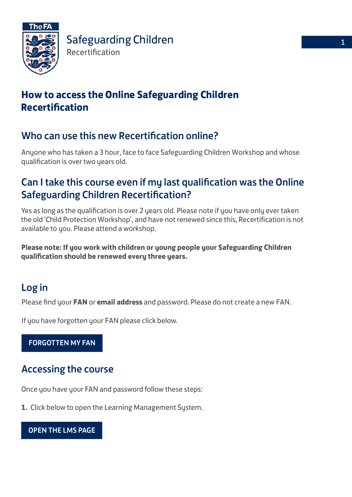

# **How to access the Online Safeguarding Children Recertification**

### Who can use this new Recertification online?

Anyone who has taken a 3 hour, face to face Safeguarding Children Workshop and whose qualification is over two years old.

## Can I take this course even if my last qualification was the Online Safeguarding Children Recertification?

Yes as long as the qualification is over 2 years old. Please note if you have only ever taken the old 'Child Protection Workshop', and have not renewed since this, Recertification is not available to you. Please attend a workshop.

**Please note: If you work with children or young people your Safeguarding Children qualification should be renewed every three years.**

# Log in

Please find your **FAN** or **email address** and password. Please do not create a new FAN.

[If you have forgotten your](https://secure.thefa.com/fan/retrievefandetails.aspx) FAN please click below.

[FORGOTTEN MY FAN](https://secure.thefa.com/fan/retrievefandetails.aspx)

# Accessing the course

Once you have your FAN and password follow these steps:

**1.** [Click below to open the](http://learning.thefa.com) Learning Management System.

[OPEN THE LMS PAGE](http://learning.thefa.com/)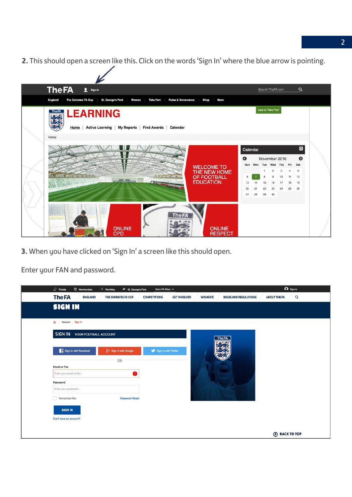**2.** This should open a screen like this. Click on the words 'Sign In' where the blue arrow is pointing.

| The FA 1 Sign in                                                                                                                         |          |    |                    | Search TheFA.com               |                      | $\alpha$                     |  |
|------------------------------------------------------------------------------------------------------------------------------------------|----------|----|--------------------|--------------------------------|----------------------|------------------------------|--|
| England<br>The Emirates FA Cup<br><b>St. George's Park</b><br><b>Rules &amp; Governance</b><br>Shop<br>Women<br><b>Take Part</b><br>More |          |    |                    |                                |                      |                              |  |
| <b>The FACE LEARNING</b><br>Home Active Learning My Reports Find Awards<br>Calendar                                                      |          |    | back to Take Part' |                                |                      |                              |  |
| Home                                                                                                                                     |          |    |                    |                                |                      |                              |  |
|                                                                                                                                          | Calendar |    |                    |                                |                      | $\qquad \qquad \blacksquare$ |  |
|                                                                                                                                          | G        |    |                    | November 2016                  |                      | $\bullet$                    |  |
| <b>WELCOME TO</b>                                                                                                                        | Sun      |    | $\mathbf{1}$       | Mon Tue Wed Thu                | Fri                  | Sat                          |  |
| THE NEW HOME<br><b>IN SECTION AND AN INCHES</b><br>OF FOOTBALL<br><b>SEARCH THE THE</b>                                                  | 6        |    |                    | $\overline{c}$<br>3<br>9<br>10 | $\overline{4}$<br>11 | 5<br>12                      |  |
| <b>EDUCATION</b><br>BASS MA land                                                                                                         | 13       | 14 | 15                 | 16<br>17                       | 18                   | 19                           |  |
|                                                                                                                                          | 20       | 21 | 22                 | 23<br>24                       | 25                   | 26                           |  |
|                                                                                                                                          | 27       | 28 | 29                 | 30                             |                      |                              |  |
| <b>heFA</b><br>W. W. H. A. S.<br><b>ONLINE</b><br><b>ONLINE</b><br><b>CPD</b><br><b>RESPECT</b>                                          |          |    |                    |                                |                      |                              |  |

**3.** When you have clicked on 'Sign In' a screen like this should open.

Enter your FAN and password.

| $\Box$ Tickets<br>$\sum$ Merchandise<br>-2 Wembley | More FA Sites $\vee$<br>+ St. George's Park       |                                       |                              | A Sign in                           |
|----------------------------------------------------|---------------------------------------------------|---------------------------------------|------------------------------|-------------------------------------|
| <b>The FA</b><br><b>ENGLAND</b>                    | THE EMIRATES FA CUP<br><b>COMPETITIONS</b>        | <b>GET INVOLVED</b><br><b>WOMEN'S</b> | <b>RULES AND REGULATIONS</b> | $\mathsf{Q}$<br><b>ABOUT THE FA</b> |
| <b>SIGN IN</b>                                     |                                                   |                                       |                              |                                     |
| $\Omega$<br>Account Sign In                        |                                                   |                                       |                              |                                     |
| SIGN IN<br>YOUR FOOTBALL ACCOUNT                   |                                                   |                                       | <b>The FA</b>                |                                     |
| Sign in with Facebook                              | $3 +$ Sign in with Google<br>Sign in with Twitter |                                       | LOS                          |                                     |
| <b>Email or Fan</b>                                | OR                                                |                                       |                              |                                     |
| Enter your email or fan                            | ➊                                                 |                                       |                              |                                     |
| Password                                           |                                                   |                                       |                              |                                     |
| Enter your password                                |                                                   |                                       |                              |                                     |
| Remember Me                                        | <b>Password Reset</b>                             |                                       |                              |                                     |
| <b>SIGN IN</b>                                     |                                                   |                                       |                              |                                     |
| Don't have an account?                             |                                                   |                                       |                              |                                     |
|                                                    |                                                   |                                       |                              | <b>BACK TO TOP</b>                  |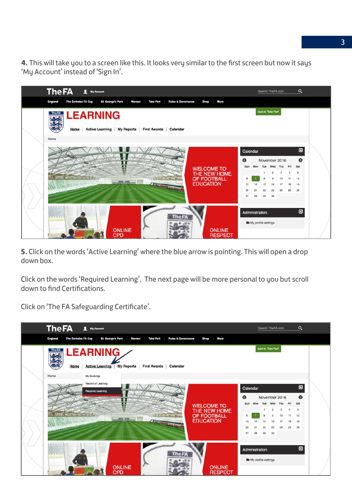**4.** This will take you to a screen like this. It looks very similar to the first screen but now it says 'My Account' instead of 'Sign In'.

| <b>The FA</b><br>My Account                                                                                                                     |           |                              | Search TheFA.com  |                      |         | Q              |  |
|-------------------------------------------------------------------------------------------------------------------------------------------------|-----------|------------------------------|-------------------|----------------------|---------|----------------|--|
| The Emirates FA Cup<br><b>St. George's Park</b><br><b>Rules &amp; Governance</b><br>England<br>Women<br><b>Take Part</b><br><b>Shop</b><br>More |           |                              |                   |                      |         |                |  |
| <b>LEARNING</b><br>The FA<br><b>Active Learning</b><br><b>My Reports</b><br><b>Find Awards</b><br>Home<br>Calendar                              |           |                              | back to Take Part |                      |         |                |  |
| Home                                                                                                                                            |           |                              |                   |                      |         |                |  |
|                                                                                                                                                 | Calendar  |                              |                   |                      |         | $\blacksquare$ |  |
|                                                                                                                                                 | $\bullet$ |                              | November 2016     |                      |         | ๏              |  |
| <b>WELCOME TO</b>                                                                                                                               | Sun       | Tue<br>Mon                   |                   | Wed Thu              | Fri     | Sat            |  |
| THE NEW HOME<br>I BETTE MACHINE TO BE T<br>OF FOOTBALL<br><b>STATISTICS</b>                                                                     |           | 1                            | $\overline{2}$    | $\overline{3}$<br>10 | 4<br>11 | -5<br>12       |  |
| <b>EDUCATION</b><br><b>INDEEMARTING</b>                                                                                                         | 13        | 15<br>14                     | 16                | -17                  | 18      | 19             |  |
|                                                                                                                                                 | 20        | 21<br>22                     | 23                | 24                   | 25      | 26             |  |
|                                                                                                                                                 | 27        | 28<br>29                     | 30                |                      |         |                |  |
|                                                                                                                                                 |           |                              |                   |                      |         |                |  |
|                                                                                                                                                 |           | Administration               |                   |                      |         | $\blacksquare$ |  |
| <b>TERRITOR</b><br><b>The FA</b><br><b>ONLINE</b><br><b>ONLINE</b>                                                                              |           | <b>B</b> My profile settings |                   |                      |         |                |  |
| <b>CPD</b><br><b>RESPECT</b>                                                                                                                    |           |                              |                   |                      |         |                |  |

**5.** Click on the words 'Active Learning' where the blue arrow is pointing. This will open a drop down box.

Click on the words 'Required Learning'. The next page will be more personal to you but scroll down to find Certifications.

Click on 'The FA Safeguarding Certificate'.

| <b>The FA</b><br>Ω<br><b>My Account</b>                                                                                                         |               |                                                 |          | Search TheFA.com               |                    |                 | $\alpha$                    |  |
|-------------------------------------------------------------------------------------------------------------------------------------------------|---------------|-------------------------------------------------|----------|--------------------------------|--------------------|-----------------|-----------------------------|--|
| The Emirates FA Cup<br><b>St. George's Park</b><br><b>Take Part</b><br><b>Rules &amp; Governance</b><br>More<br>England<br>Women<br><b>Shop</b> |               |                                                 |          |                                |                    |                 |                             |  |
| <b>LEARNING</b><br><b>My Reports</b><br>Home<br><b>Active Learning</b><br><b>Find Awards</b><br>Calendar                                        |               |                                                 |          |                                |                    |                 |                             |  |
| Home<br>My Bookings<br>Record of Learning<br><b>Required Learning</b>                                                                           | Calendar<br>◶ |                                                 |          | November 2016                  |                    |                 | $\blacksquare$<br>$\bullet$ |  |
| <b>WELCOME TO</b>                                                                                                                               | Sun           | Mon                                             | Tue      | Wed                            | Thu                | Fri             | Sat                         |  |
| THE NEW HOME<br><b>I AFRAI MAN WITH A BREE</b><br>OF FOOTBALL<br><b>STATE OWNER THE THEFT</b>                                                   |               |                                                 | 1        | $\overline{2}$<br>$\mathbf{Q}$ | $\mathbf{3}$<br>10 | $\cdot$ 4<br>11 | -5<br>12                    |  |
| <b>EDUCATION</b><br>HAS FINE has been<br>$\sqrt{1 - \frac{1}{2}}$                                                                               | 13            |                                                 | 15       | 16                             | 17                 | 18              | 19                          |  |
|                                                                                                                                                 | 20<br>27      | 21<br>28                                        | 22<br>29 | 23<br>30                       | 24                 | 25              | 26                          |  |
| <b>THE US AN AFTER</b><br>The FA<br><b>ONLINE</b><br><b>ONLINE</b><br><b>CPD</b><br><b>RESPECT</b>                                              |               | Administration<br><b>In</b> My profile settings |          |                                |                    |                 | ▣                           |  |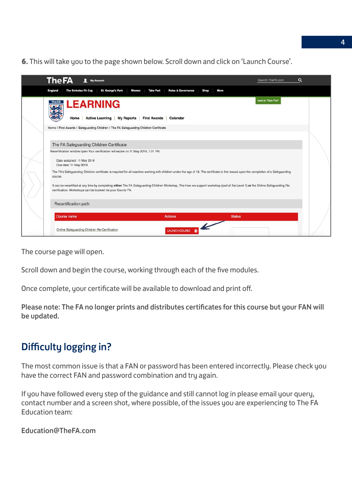**6.** This will take you to the page shown below. Scroll down and click on 'Launch Course'.

| <b>The FA</b><br>Q<br>Ω<br>Search TheFA.com<br><b>My Account</b>                                                                                                                                                                             |  |
|----------------------------------------------------------------------------------------------------------------------------------------------------------------------------------------------------------------------------------------------|--|
| <b>The Emirates FA Cup</b><br><b>Rules &amp; Governance</b><br><b>St. George's Park</b><br><b>Take Part</b><br>More<br><b>England</b><br>Women<br>Shop                                                                                       |  |
| back to Take Part<br><b>The FA LEARNING</b><br><b>Active Learning</b><br><b>My Reports</b><br>Home<br><b>Find Awards</b><br>Calendar                                                                                                         |  |
| Home   Find Awards   Safeguarding Children   The FA Safeguarding Children Certificate                                                                                                                                                        |  |
|                                                                                                                                                                                                                                              |  |
| The FA Safeguarding Children Certificate                                                                                                                                                                                                     |  |
| Recertification window open Your certification will expire on 11 May 2019, 7:01 PM<br>Date assigned: 11 May 2016<br>Due date: 11 May 2019                                                                                                    |  |
| The FA's Safeguarding Children certificate is required for all coaches working with children under the age of 18. The certificate is first issued upon the completion of a Safeguarding<br>course.                                           |  |
| It can be recertified at any time by completing either The FA Safeguarding Children Workshop, The How we support workshop (part of the Level 1) or the Online Safeguarding Re-<br>certification. Workshops can be booked via your County FA. |  |
| Recertification path                                                                                                                                                                                                                         |  |
| <b>Course name</b><br><b>Actions</b><br><b>Status</b>                                                                                                                                                                                        |  |
| Online Safeguarding Children Re-Certification<br><b>LAUNCH COURSE</b>                                                                                                                                                                        |  |

The course page will open.

Scroll down and begin the course, working through each of the five modules.

Once complete, your certificate will be available to download and print of.

Please note: The FA no longer prints and distributes certificates for this course but your FAN will be updated.

# Difficulty logging in?

The most common issue is that a FAN or password has been entered incorrectly. Please check you have the correct FAN and password combination and try again.

If you have followed every step of the guidance and still cannot log in please email your query, contact number and a screen shot, where possible, of the issues you are experiencing to The FA Education team:

Education@TheFA.com